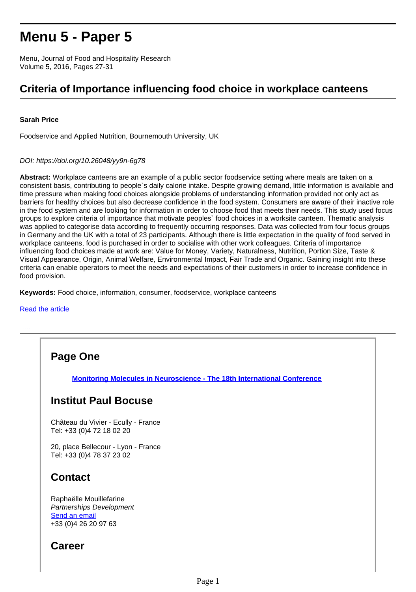# **Menu 5 - Paper 5**

Menu, Journal of Food and Hospitality Research Volume 5, 2016, Pages 27-31

# **Criteria of Importance influencing food choice in workplace canteens**

#### **Sarah Price**

Foodservice and Applied Nutrition, Bournemouth University, UK

#### DOI: https://doi.org/10.26048/yy9n-6g78

**Abstract:** Workplace canteens are an example of a public sector foodservice setting where meals are taken on a consistent basis, contributing to people`s daily calorie intake. Despite growing demand, little information is available and time pressure when making food choices alongside problems of understanding information provided not only act as barriers for healthy choices but also decrease confidence in the food system. Consumers are aware of their inactive role in the food system and are looking for information in order to choose food that meets their needs. This study used focus groups to explore criteria of importance that motivate peoples` food choices in a worksite canteen. Thematic analysis was applied to categorise data according to frequently occurring responses. Data was collected from four focus groups in Germany and the UK with a total of 23 participants. Although there is little expectation in the quality of food served in workplace canteens, food is purchased in order to socialise with other work colleagues. Criteria of importance influencing food choices made at work are: Value for Money, Variety, Naturalness, Nutrition, Portion Size, Taste & Visual Appearance, Origin, Animal Welfare, Environmental Impact, Fair Trade and Organic. Gaining insight into these criteria can enable operators to meet the needs and expectations of their customers in order to increase confidence in food provision.

**Keywords:** Food choice, information, consumer, foodservice, workplace canteens

#### [Read the article](http://research.institutpaulbocuse.com/medias/fichier/price-2016-menu-5_1604425813763-pdf?INLINE=FALSE)

## **Page One**

**[Monitoring Molecules in Neuroscience - The 18th International Conference](http://recherche.institutpaulbocuse.com/fr/actualites/monitoring-molecules-in-neuroscience-the-18th-international-conference-16303.kjsp?RH=1551112870001)**

#### **Institut Paul Bocuse**

Château du Vivier - Ecully - France Tel: +33 (0)4 72 18 02 20

20, place Bellecour - Lyon - France Tel: +33 (0)4 78 37 23 02

## **Contact**

Raphaëlle Mouillefarine Partnerships Development Send an email +33 (0)4 26 20 97 63

## **Career**